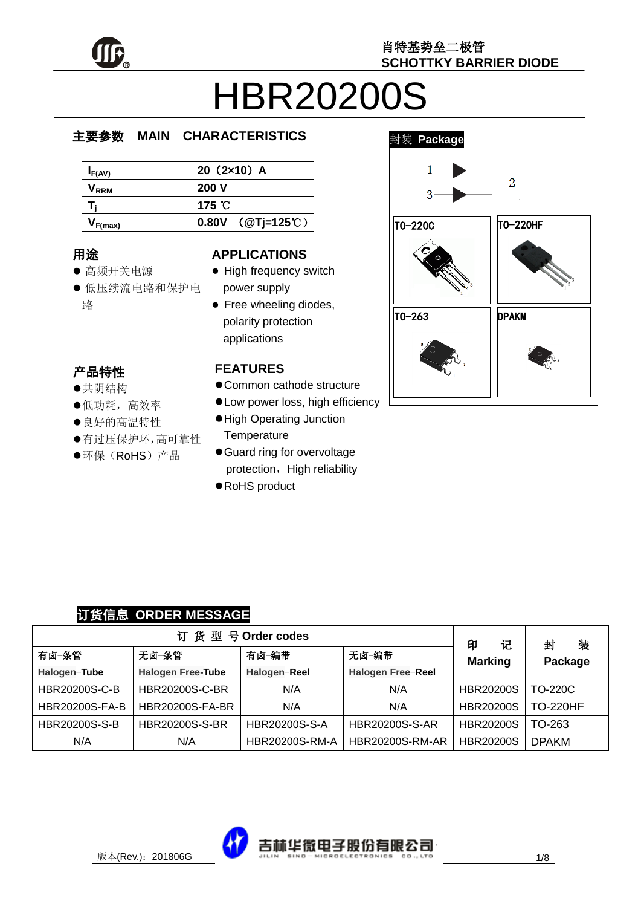

# HBR20200S

#### e  $\overline{\phantom{a}}$ 主要参数 **MAIN CHARACTERISTICS**

| $I_{F(AV)}$      | $20(2x10)$ A                |
|------------------|-----------------------------|
| V <sub>rrm</sub> | 200V                        |
|                  | 175 $^{\circ}$ C            |
| $V_{F(max)}$     | 0.80V $(QT) = 125^{\circ}C$ |

### 用途

- ……<br>● 高频开关电源
- יי<br>ל 低压续流电路和保护电 r. 路

#### **APPLICATIONS**

- High frequency switch power supply
- Free wheeling diodes, polarity protection applications

#### 产品特性

- , HHIVI工<br>●共阴结构
- <del>八历五日</del><br>●低功耗,高效率
- ●良好的高温特性
- 有过压保护环,高可靠性
- $\hat{\cdot}$  $\overline{a}$ ●环保(RoHS)产品

#### **FEATURES**

- Common cathode structure
- Low power loss, high efficiency
- High Operating Junction **Temperature**
- Guard ring for overvoltage protection, High reliability
- RoHS product



#### 订货信息 **ORDER MESSAGE**

| 订货型号Order codes       |                          |                       |                          |                          | 装<br>封          |
|-----------------------|--------------------------|-----------------------|--------------------------|--------------------------|-----------------|
| 有卤-条管                 | 无卤-条管                    | 有卤-编带                 | 无卤-编带                    | 记<br>印<br><b>Marking</b> | Package         |
| Halogen-Tube          | <b>Halogen Free-Tube</b> | Halogen-Reel          | <b>Halogen Free-Reel</b> |                          |                 |
| <b>HBR20200S-C-B</b>  | <b>HBR20200S-C-BR</b>    | N/A                   | N/A                      | <b>HBR20200S</b>         | <b>TO-220C</b>  |
| <b>HBR20200S-FA-B</b> | <b>HBR20200S-FA-BR</b>   | N/A                   | N/A                      | <b>HBR20200S</b>         | <b>TO-220HF</b> |
| HBR20200S-S-B         | <b>HBR20200S-S-BR</b>    | <b>HBR20200S-S-A</b>  | <b>HBR20200S-S-AR</b>    | <b>HBR20200S</b>         | TO-263          |
| N/A                   | N/A                      | <b>HBR20200S-RM-A</b> | <b>HBR20200S-RM-AR</b>   | <b>HBR20200S</b>         | <b>DPAKM</b>    |

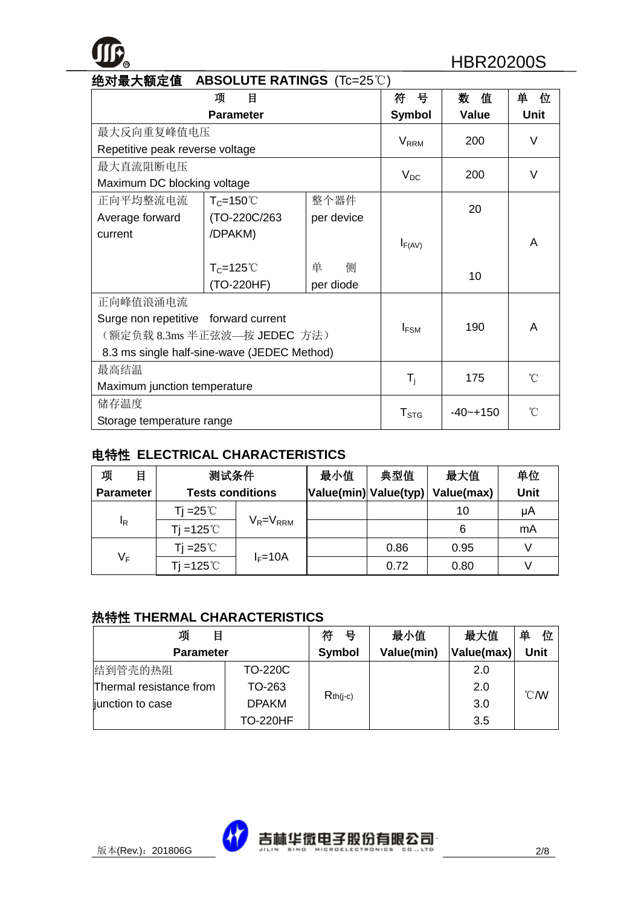

| 绝对最大额定值 ABSOLUTE RATINGS(Tc=25℃)     |                                             |            |                         |              |             |
|--------------------------------------|---------------------------------------------|------------|-------------------------|--------------|-------------|
|                                      | 项<br>目                                      |            | 뮹<br>符                  | 值<br>数       | 单<br>位      |
| <b>Parameter</b>                     |                                             |            | <b>Symbol</b>           | <b>Value</b> | <b>Unit</b> |
| 最大反向重复峰值电压                           |                                             |            |                         | 200          | V           |
| Repetitive peak reverse voltage      |                                             |            | <b>V</b> <sub>RRM</sub> |              |             |
| 最大直流阻断电压                             |                                             |            |                         | 200          | $\vee$      |
| Maximum DC blocking voltage          |                                             |            | $V_{DC}$                |              |             |
| 正向平均整流电流                             | $T_c = 150^{\circ}$                         | 整个器件       |                         | 20           |             |
| Average forward                      | (TO-220C/263                                | per device |                         |              |             |
| current                              | /DPAKM)                                     |            |                         |              | A           |
|                                      |                                             |            | $I_{F(AV)}$             |              |             |
|                                      | $T_c = 125^{\circ}$                         | 侧<br>单     |                         | 10           |             |
|                                      | (TO-220HF)                                  | per diode  |                         |              |             |
| 正向峰值浪涌电流                             |                                             |            |                         |              |             |
| Surge non repetitive forward current |                                             |            |                         | 190          | A           |
|                                      | (额定负载 8.3ms 半正弦波—按 JEDEC 方法)                |            | $I_{FSM}$               |              |             |
|                                      | 8.3 ms single half-sine-wave (JEDEC Method) |            |                         |              |             |
| 最高结温                                 |                                             |            | $T_i$                   | 175          | °C          |
|                                      | Maximum junction temperature                |            |                         |              |             |
| 储存温度                                 |                                             |            |                         | $-40 - +150$ | °C          |
| Storage temperature range            |                                             |            | T <sub>STG</sub>        |              |             |

#### 电特性 **ELECTRICAL CHARACTERISTICS**

| 项<br>目           | 测试条件                    |                 | 最小值                   | 典型值  | 最大值        | 单位   |
|------------------|-------------------------|-----------------|-----------------------|------|------------|------|
| <b>Parameter</b> | <b>Tests conditions</b> |                 | Value(min) Value(typ) |      | Value(max) | Unit |
|                  | Tj =25℃                 |                 |                       |      | 10         | μA   |
| l <sub>R</sub>   | $Ti = 125^{\circ}$      | $V_R = V_{RRM}$ |                       |      | 6          | mA   |
|                  | Ti =25℃                 |                 |                       | 0.86 | 0.95       |      |
| $V_F$            | $Ti = 125^{\circ}$      | $I_F = 10A$     |                       | 0.72 | 0.80       |      |

#### 热特性 **THERMAL CHARACTERISTICS**

| 项<br>目                  |                | 符<br>뮹     | 最小值        | 最大值        | 单<br>位           |
|-------------------------|----------------|------------|------------|------------|------------------|
| <b>Parameter</b>        |                | Symbol     | Value(min) | Value(max) | <b>Unit</b>      |
| 结到管壳的热阻                 | <b>TO-220C</b> |            |            | 2.0        |                  |
| Thermal resistance from | TO-263         |            |            | 2.0        | $\mathcal{C}$ MV |
| junction to case        | <b>DPAKM</b>   | $Rth(i-c)$ |            | 3.0        |                  |
|                         | TO-220HF       |            |            | 3.5        |                  |

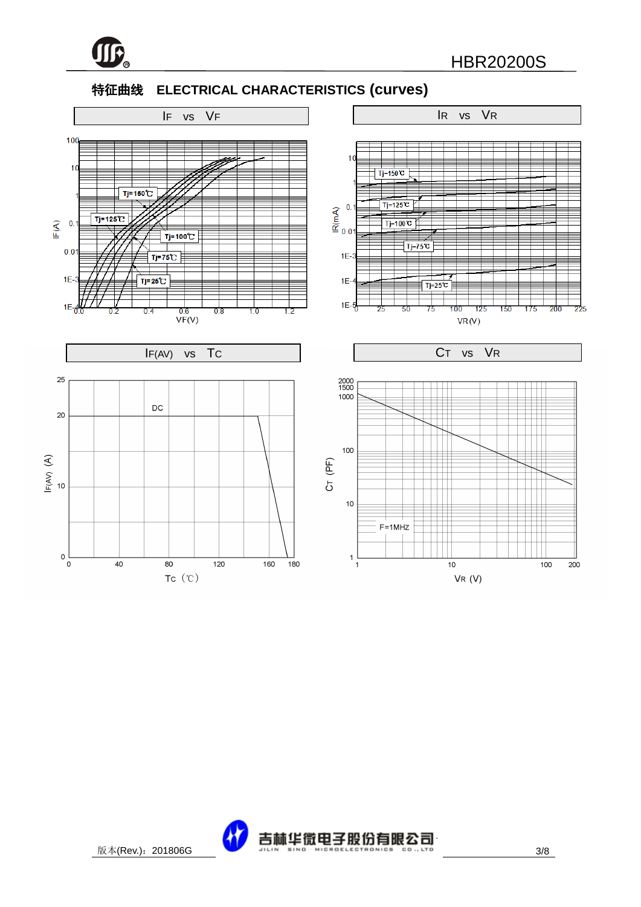

#### 特征曲线 **ELECTRICAL CHARACTERISTICS (curves)**



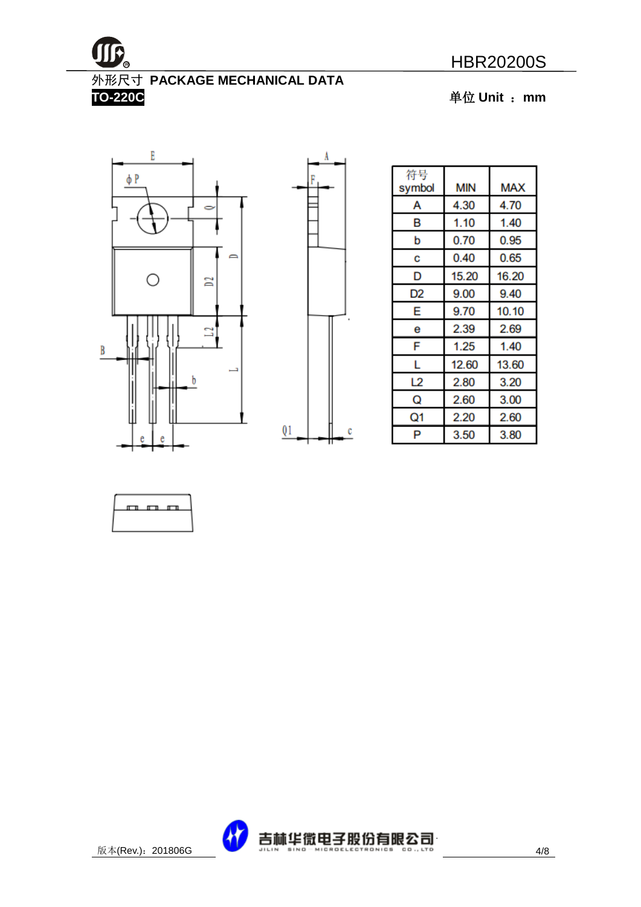

## 外形尺寸 **PACKAGE MECHANICAL DATA**

**TO-220C** 单位 **Unit** :**mm**





| 符号     | <b>MIN</b> | <b>MAX</b> |
|--------|------------|------------|
| symbol |            |            |
| А      | 4.30       | 4.70       |
| в      | 1.10       | 1.40       |
| b      | 0.70       | 0.95       |
| С      | 0.40       | 0.65       |
| D      | 15.20      | 16.20      |
| D2     | 9.00       | 9.40       |
| E      | 9.70       | 10.10      |
| е      | 2.39       | 2.69       |
| F      | 1.25       | 1.40       |
| L      | 12.60      | 13.60      |
| L2     | 2.80       | 3.20       |
| Q      | 2.60       | 3.00       |
| Q1     | 2.20       | 2.60       |
| P      | 3.50       | 3.80       |



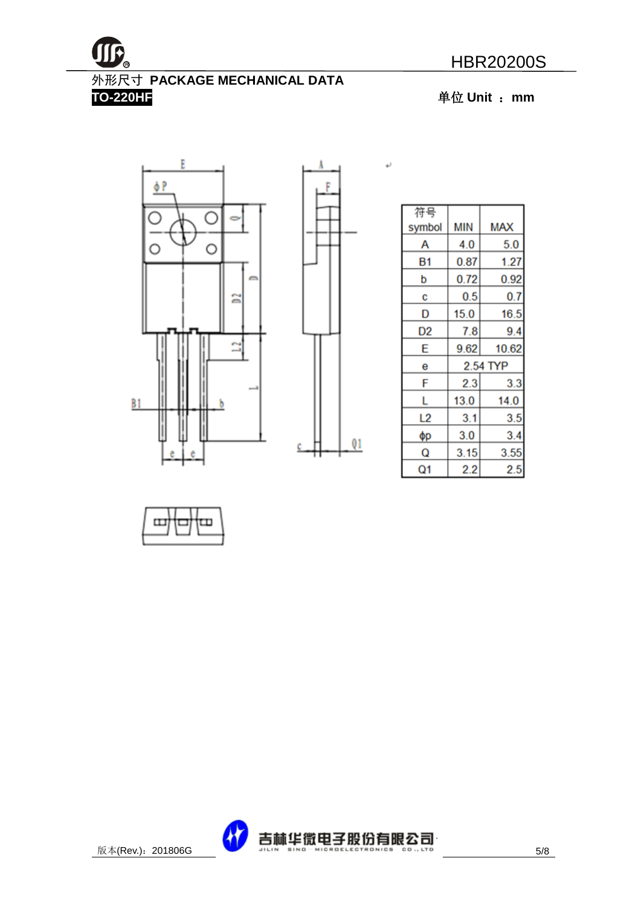



外形尺寸 **PACKAGE MECHANICAL DATA** 

**TO-220HF** 单位 **Unit** :**mm**





١

 $\leftarrow$ 

| 符号     |      |            |
|--------|------|------------|
| symbol | MIN  | <b>MAX</b> |
| А      | 4.0  | 5.0        |
| Β1     | 0.87 | 1.27       |
| b      | 0.72 | 0.92       |
| C      | 0.5  | 0.7        |
| D      | 15.0 | 16.5       |
| D2     | 7.8  | 9.4        |
| E      | 9.62 | 10.62      |
| е      |      | 2.54 TYP   |
| F      | 2.3  | 3.3        |
| L      | 13.0 | 14.0       |
| L2     | 3.1  | 3.5        |
| φр     | 3.0  | 3.4        |
| Q      | 3.15 | 3.55       |
| Q1     | 2.2  | 2.5        |



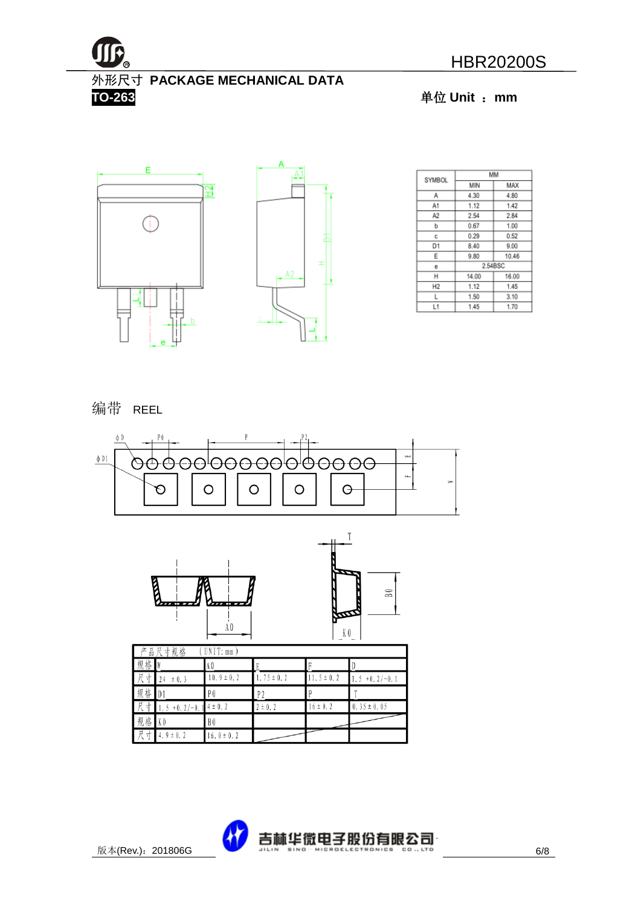

外形尺寸 **PACKAGE MECHANICAL DATA TO-263** 单位 **Unit** :**mm**



| SYMBOL         |         | MM    |
|----------------|---------|-------|
|                | MIN     | MAX   |
| Α              | 4.30    | 4.80  |
| A1             | 1.12    | 1.42  |
| А2             | 2.54    | 2.84  |
| b              | 0.67    | 1.00  |
| c              | 0.29    | 0.52  |
| D1             | 8.40    | 9.00  |
| Ε              | 9.80    | 10.46 |
| e              | 2.54BSC |       |
| н              | 14.00   | 16.00 |
| H <sub>2</sub> | 1.12    | 1.45  |
| L              | 1.50    | 3.10  |
| L1             | 1.45    | 1.70  |

#### 编带 REEL





| Г<br>品<br>立 | 尺寸规格            | UNIT: mm       |                |                 |                      |
|-------------|-----------------|----------------|----------------|-----------------|----------------------|
| 规<br>格      |                 | A 0            |                |                 |                      |
| R<br>₹      | ± 0.3<br>24     | $0.9 \pm 0.2$  | $.75 \pm 0.2$  | 11. $5 \pm 0.2$ | $+0.2/-0.1$<br>. . 5 |
| 规<br>格      | 1 D 1           | P <sub>0</sub> | P <sub>2</sub> |                 |                      |
| 一尺<br>⊀     | $+0.2/-0.$<br>5 | $14 \pm 0.2$   | $2 \pm 0.2$    | $16 \pm 0.2$    | $0.35 \pm 0.05$      |
| 规<br>格      | K O             | B0             |                |                 |                      |
| 一尺<br>⊀     | 4. $9 \pm 0.2$  | $16.0 \pm 0.2$ |                |                 |                      |

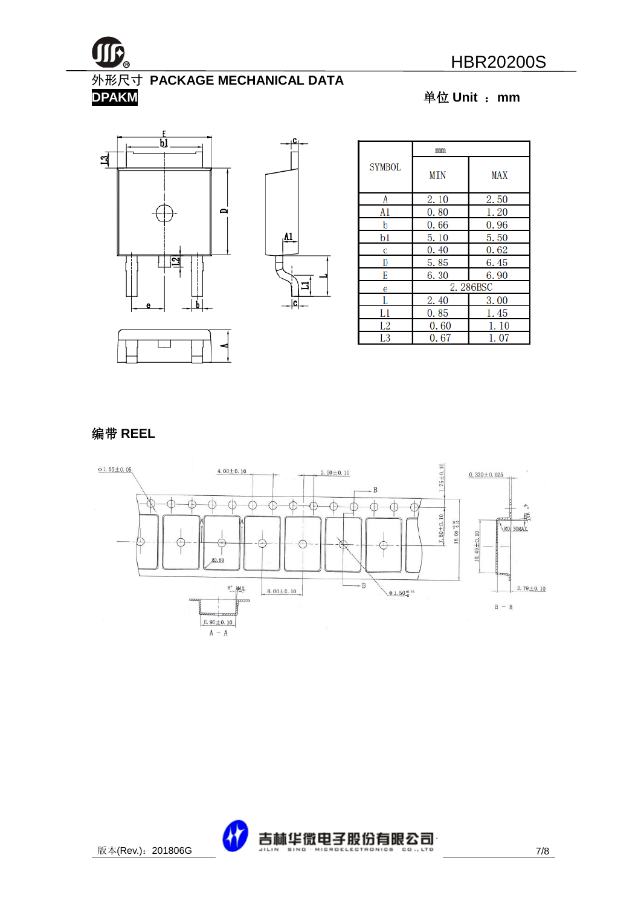

#### 外形尺寸 **PACKAGE MECHANICAL DATA**

**DPAKM** 单位 **Unit** :**mm**







#### 编带 **REEL**